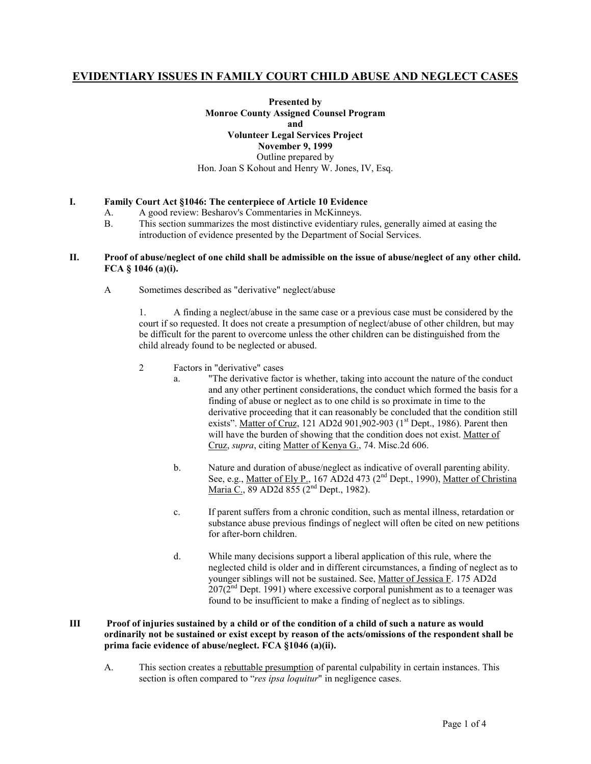# **EVIDENTIARY ISSUES IN FAMILY COURT CHILD ABUSE AND NEGLECT CASES**

**Presented by Monroe County Assigned Counsel Program and Volunteer Legal Services Project November 9, 1999** Outline prepared by Hon. Joan S Kohout and Henry W. Jones, IV, Esq.

# **I. Family Court Act §1046: The centerpiece of Article 10 Evidence**

- A. A good review: Besharov's Commentaries in McKinneys.
- B. This section summarizes the most distinctive evidentiary rules, generally aimed at easing the introduction of evidence presented by the Department of Social Services.

## **II. Proof of abuse/neglect of one child shall be admissible on the issue of abuse/neglect of any other child. FCA § 1046 (a)(i).**

A Sometimes described as "derivative" neglect/abuse

1. A finding a neglect/abuse in the same case or a previous case must be considered by the court if so requested. It does not create a presumption of neglect/abuse of other children, but may be difficult for the parent to overcome unless the other children can be distinguished from the child already found to be neglected or abused.

- 2 Factors in "derivative" cases
	- a. "The derivative factor is whether, taking into account the nature of the conduct and any other pertinent considerations, the conduct which formed the basis for a finding of abuse or neglect as to one child is so proximate in time to the derivative proceeding that it can reasonably be concluded that the condition still exists". Matter of Cruz, 121 AD2d 901,902-903 ( $1<sup>st</sup>$  Dept., 1986). Parent then will have the burden of showing that the condition does not exist. Matter of Cruz, *supra*, citing Matter of Kenya G., 74. Misc.2d 606.
	- b. Nature and duration of abuse/neglect as indicative of overall parenting ability. See, e.g., Matter of Ely P., 167 AD2d 473 (2<sup>nd</sup> Dept., 1990), Matter of Christina Maria C., 89 AD2d 855 (2<sup>nd</sup> Dept., 1982).
	- c. If parent suffers from a chronic condition, such as mental illness, retardation or substance abuse previous findings of neglect will often be cited on new petitions for after-born children.
	- d. While many decisions support a liberal application of this rule, where the neglected child is older and in different circumstances, a finding of neglect as to younger siblings will not be sustained. See, Matter of Jessica F. 175 AD2d  $207(2<sup>nd</sup>$  Dept. 1991) where excessive corporal punishment as to a teenager was found to be insufficient to make a finding of neglect as to siblings.

# **III Proof of injuries sustained by a child or of the condition of a child of such a nature as would ordinarily not be sustained or exist except by reason of the acts/omissions of the respondent shall be prima facie evidence of abuse/neglect. FCA §1046 (a)(ii).**

A. This section creates a rebuttable presumption of parental culpability in certain instances. This section is often compared to "*res ipsa loquitur*" in negligence cases.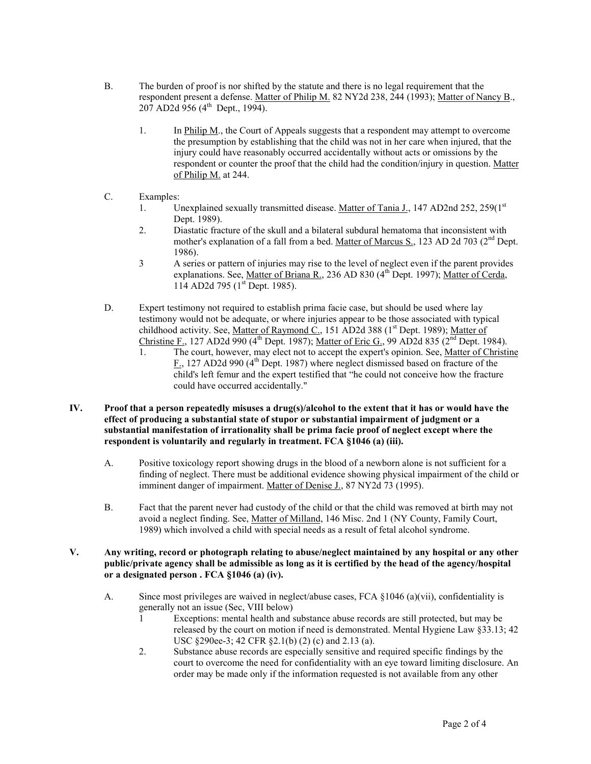- B. The burden of proof is nor shifted by the statute and there is no legal requirement that the respondent present a defense. Matter of Philip M. 82 NY2d 238, 244 (1993); Matter of Nancy B.,  $207$  AD2d 956 (4<sup>th</sup> Dept., 1994).
	- 1. In Philip M., the Court of Appeals suggests that a respondent may attempt to overcome the presumption by establishing that the child was not in her care when injured, that the injury could have reasonably occurred accidentally without acts or omissions by the respondent or counter the proof that the child had the condition/injury in question. Matter of Philip M. at 244.
- C. Examples:
	- 1. Unexplained sexually transmitted disease. Matter of Tania J., 147 AD2nd 252, 259(1st Dept. 1989).
	- 2. Diastatic fracture of the skull and a bilateral subdural hematoma that inconsistent with mother's explanation of a fall from a bed. Matter of Marcus S., 123 AD 2d 703 (2<sup>nd</sup> Dept. 1986).
	- 3 A series or pattern of injuries may rise to the level of neglect even if the parent provides explanations. See, Matter of Briana R., 236 AD 830 (4<sup>th</sup> Dept. 1997); Matter of Cerda, 114 AD2d 795 (1<sup>st</sup> Dept. 1985).
- D. Expert testimony not required to establish prima facie case, but should be used where lay testimony would not be adequate, or where injuries appear to be those associated with typical childhood activity. See, Matter of Raymond C., 151 AD2d 388 (1<sup>st</sup> Dept. 1989); Matter of Christine F., 127 AD2d 990 (4<sup>th</sup> Dept. 1987); Matter of Eric G., 99 AD2d 835 ( $2<sup>nd</sup>$  Dept. 1984).
	- 1. The court, however, may elect not to accept the expert's opinion. See, Matter of Christine F., 127 AD2d 990 (4<sup>th</sup> Dept. 1987) where neglect dismissed based on fracture of the child's left femur and the expert testified that "he could not conceive how the fracture could have occurred accidentally."
- **IV. Proof that a person repeatedly misuses a drug(s)/alcohol to the extent that it has or would have the effect of producing a substantial state of stupor or substantial impairment of judgment or a substantial manifestation of irrationality shall be prima facie proof of neglect except where the respondent is voluntarily and regularly in treatment. FCA §1046 (a) (iii).**
	- A. Positive toxicology report showing drugs in the blood of a newborn alone is not sufficient for a finding of neglect. There must be additional evidence showing physical impairment of the child or imminent danger of impairment. Matter of Denise J., 87 NY2d 73 (1995).
	- B. Fact that the parent never had custody of the child or that the child was removed at birth may not avoid a neglect finding. See, Matter of Milland, 146 Misc. 2nd 1 (NY County, Family Court, 1989) which involved a child with special needs as a result of fetal alcohol syndrome.
- **V. Any writing, record or photograph relating to abuse/neglect maintained by any hospital or any other public/private agency shall be admissible as long as it is certified by the head of the agency/hospital or a designated person . FCA §1046 (a) (iv).**
	- A. Since most privileges are waived in neglect/abuse cases, FCA §1046 (a)(vii), confidentiality is generally not an issue (Sec, VIII below)
		- 1 Exceptions: mental health and substance abuse records are still protected, but may be released by the court on motion if need is demonstrated. Mental Hygiene Law §33.13; 42 USC §290ee-3; 42 CFR §2.1(b) (2) (c) and 2.13 (a).
		- 2. Substance abuse records are especially sensitive and required specific findings by the court to overcome the need for confidentiality with an eye toward limiting disclosure. An order may be made only if the information requested is not available from any other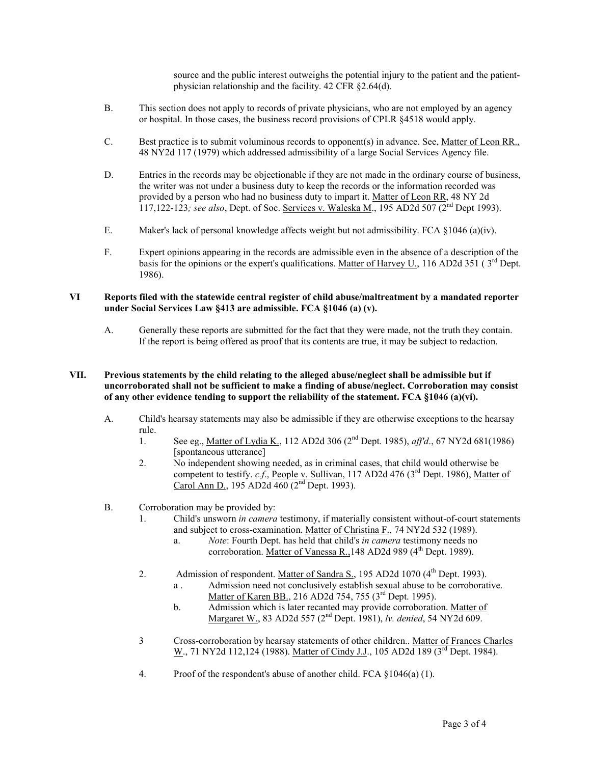source and the public interest outweighs the potential injury to the patient and the patientphysician relationship and the facility. 42 CFR §2.64(d).

- B. This section does not apply to records of private physicians, who are not employed by an agency or hospital. In those cases, the business record provisions of CPLR §4518 would apply.
- C. Best practice is to submit voluminous records to opponent(s) in advance. See, Matter of Leon RR., 48 NY2d 117 (1979) which addressed admissibility of a large Social Services Agency file.
- D. Entries in the records may be objectionable if they are not made in the ordinary course of business, the writer was not under a business duty to keep the records or the information recorded was provided by a person who had no business duty to impart it. Matter of Leon RR, 48 NY 2d 117,122-123*; see also*, Dept. of Soc. Services v. Waleska M., 195 AD2d 507 (2nd Dept 1993).
- E. Maker's lack of personal knowledge affects weight but not admissibility. FCA §1046 (a)(iv).
- F. Expert opinions appearing in the records are admissible even in the absence of a description of the basis for the opinions or the expert's qualifications. Matter of Harvey U., 116 AD2d 351 ( $3<sup>rd</sup>$  Dept. 1986).

## **VI Reports filed with the statewide central register of child abuse/maltreatment by a mandated reporter under Social Services Law §413 are admissible. FCA §1046 (a) (v).**

A. Generally these reports are submitted for the fact that they were made, not the truth they contain. If the report is being offered as proof that its contents are true, it may be subject to redaction.

## **VII. Previous statements by the child relating to the alleged abuse/neglect shall be admissible but if uncorroborated shall not be sufficient to make a finding of abuse/neglect. Corroboration may consist of any other evidence tending to support the reliability of the statement. FCA §1046 (a)(vi).**

- A. Child's hearsay statements may also be admissible if they are otherwise exceptions to the hearsay rule.
	- 1. See eg., Matter of Lydia K., 112 AD2d 306 (2nd Dept. 1985), *aff'd*., 67 NY2d 681(1986) [spontaneous utterance]
	- 2. No independent showing needed, as in criminal cases, that child would otherwise be competent to testify. *c.f.*, People v. Sullivan, 117 AD2d 476 (3<sup>rd</sup> Dept. 1986), Matter of Carol Ann D., 195 AD2d 460 (2<sup>nd</sup> Dept. 1993).
- B. Corroboration may be provided by:
	- 1. Child's unsworn *in camera* testimony, if materially consistent without-of-court statements and subject to cross-examination. Matter of Christina F., 74 NY2d 532 (1989).
		- a. *Note*: Fourth Dept. has held that child's *in camera* testimony needs no corroboration. Matter of Vanessa R., 148 AD2d 989 (4<sup>th</sup> Dept. 1989).
	- 2. Admission of respondent. Matter of Sandra S., 195 AD2d 1070 (4<sup>th</sup> Dept. 1993). a . Admission need not conclusively establish sexual abuse to be corroborative.
		- Matter of Karen BB., 216 AD2d 754, 755 (3<sup>rd</sup> Dept. 1995).
		- b. Admission which is later recanted may provide corroboration. Matter of Margaret W., 83 AD2d 557 (2nd Dept. 1981), *lv. denied*, 54 NY2d 609.
	- 3 Cross-corroboration by hearsay statements of other children.. Matter of Frances Charles W., 71 NY2d 112,124 (1988). Matter of Cindy J.J., 105 AD2d 189 (3<sup>rd</sup> Dept. 1984).
	- 4. Proof of the respondent's abuse of another child. FCA §1046(a) (1).